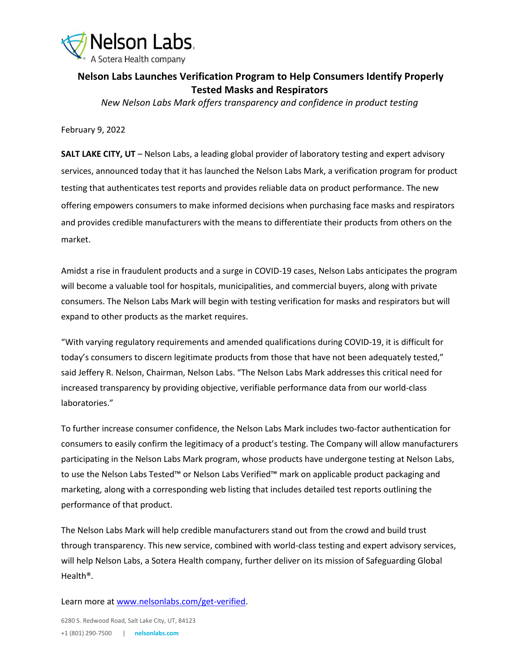

## **Nelson Labs Launches Verification Program to Help Consumers Identify Properly Tested Masks and Respirators**

*New Nelson Labs Mark offers transparency and confidence in product testing*

February 9, 2022

**SALT LAKE CITY, UT** – Nelson Labs, a leading global provider of laboratory testing and expert advisory services, announced today that it has launched the Nelson Labs Mark, a verification program for product testing that authenticates test reports and provides reliable data on product performance. The new offering empowers consumers to make informed decisions when purchasing face masks and respirators and provides credible manufacturers with the means to differentiate their products from others on the market.

Amidst a rise in fraudulent products and a surge in COVID-19 cases, Nelson Labs anticipates the program will become a valuable tool for hospitals, municipalities, and commercial buyers, along with private consumers. The Nelson Labs Mark will begin with testing verification for masks and respirators but will expand to other products as the market requires.

"With varying regulatory requirements and amended qualifications during COVID-19, it is difficult for today's consumers to discern legitimate products from those that have not been adequately tested," said Jeffery R. Nelson, Chairman, Nelson Labs. "The Nelson Labs Mark addresses this critical need for increased transparency by providing objective, verifiable performance data from our world-class laboratories."

To further increase consumer confidence, the Nelson Labs Mark includes two-factor authentication for consumers to easily confirm the legitimacy of a product's testing. The Company will allow manufacturers participating in the Nelson Labs Mark program, whose products have undergone testing at Nelson Labs, to use the Nelson Labs Tested™ or Nelson Labs Verified™ mark on applicable product packaging and marketing, along with a corresponding web listing that includes detailed test reports outlining the performance of that product.

The Nelson Labs Mark will help credible manufacturers stand out from the crowd and build trust through transparency. This new service, combined with world-class testing and expert advisory services, will help Nelson Labs, a Sotera Health company, further deliver on its mission of Safeguarding Global Health®.

Learn more at [www.nelsonlabs.com/get-verified.](http://www.nelsonlabs.com/get-verified)